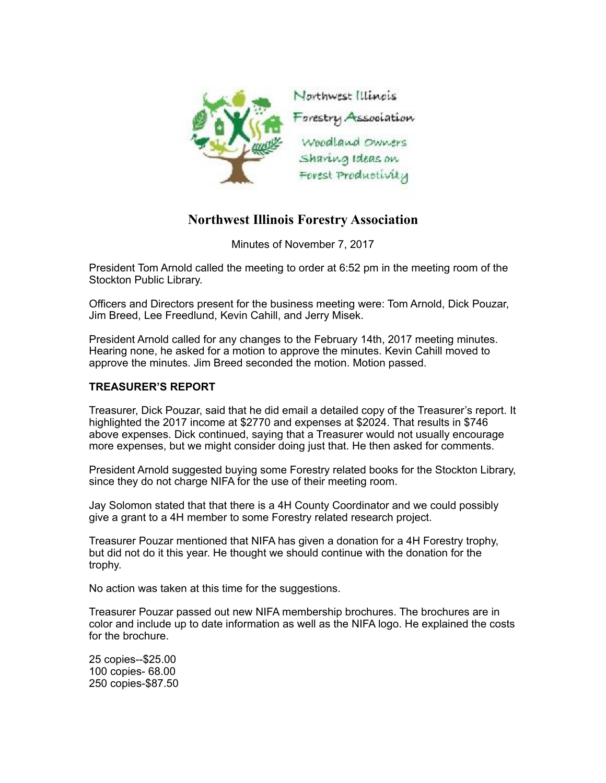

## **Northwest Illinois Forestry Association**

Minutes of November 7, 2017

President Tom Arnold called the meeting to order at 6:52 pm in the meeting room of the Stockton Public Library.

Officers and Directors present for the business meeting were: Tom Arnold, Dick Pouzar, Jim Breed, Lee Freedlund, Kevin Cahill, and Jerry Misek.

President Arnold called for any changes to the February 14th, 2017 meeting minutes. Hearing none, he asked for a motion to approve the minutes. Kevin Cahill moved to approve the minutes. Jim Breed seconded the motion. Motion passed.

## **TREASURER'S REPORT**

Treasurer, Dick Pouzar, said that he did email a detailed copy of the Treasurer's report. It highlighted the 2017 income at \$2770 and expenses at \$2024. That results in \$746 above expenses. Dick continued, saying that a Treasurer would not usually encourage more expenses, but we might consider doing just that. He then asked for comments.

President Arnold suggested buying some Forestry related books for the Stockton Library, since they do not charge NIFA for the use of their meeting room.

Jay Solomon stated that that there is a 4H County Coordinator and we could possibly give a grant to a 4H member to some Forestry related research project.

Treasurer Pouzar mentioned that NIFA has given a donation for a 4H Forestry trophy, but did not do it this year. He thought we should continue with the donation for the trophy.

No action was taken at this time for the suggestions.

Treasurer Pouzar passed out new NIFA membership brochures. The brochures are in color and include up to date information as well as the NIFA logo. He explained the costs for the brochure.

25 copies--\$25.00 100 copies- 68.00 250 copies-\$87.50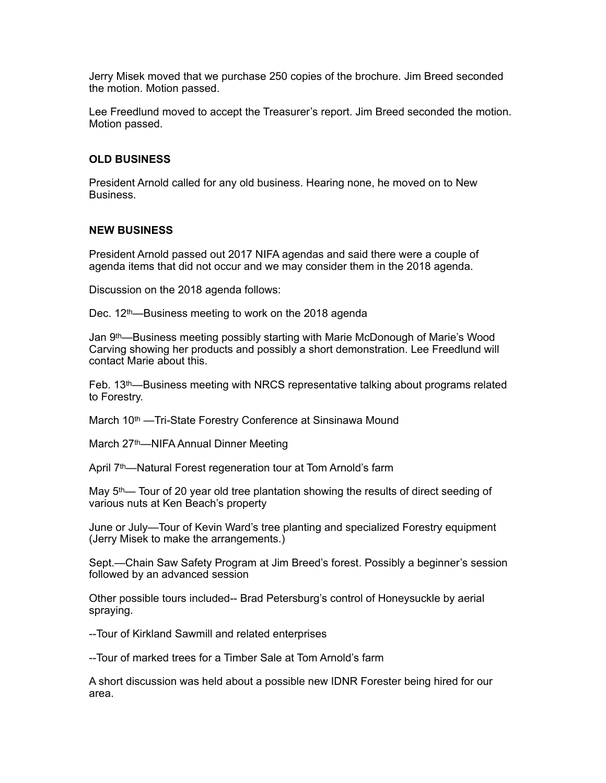Jerry Misek moved that we purchase 250 copies of the brochure. Jim Breed seconded the motion. Motion passed.

Lee Freedlund moved to accept the Treasurer's report. Jim Breed seconded the motion. Motion passed.

## **OLD BUSINESS**

President Arnold called for any old business. Hearing none, he moved on to New Business.

## **NEW BUSINESS**

President Arnold passed out 2017 NIFA agendas and said there were a couple of agenda items that did not occur and we may consider them in the 2018 agenda.

Discussion on the 2018 agenda follows:

Dec. 12th—Business meeting to work on the 2018 agenda

Jan 9th—Business meeting possibly starting with Marie McDonough of Marie's Wood Carving showing her products and possibly a short demonstration. Lee Freedlund will contact Marie about this.

Feb.  $13<sup>th</sup>$ —Business meeting with NRCS representative talking about programs related to Forestry.

March 10<sup>th</sup> —Tri-State Forestry Conference at Sinsinawa Mound

March 27th—NIFA Annual Dinner Meeting

April 7<sup>th</sup>—Natural Forest regeneration tour at Tom Arnold's farm

May 5th— Tour of 20 year old tree plantation showing the results of direct seeding of various nuts at Ken Beach's property

June or July—Tour of Kevin Ward's tree planting and specialized Forestry equipment (Jerry Misek to make the arrangements.)

Sept.—Chain Saw Safety Program at Jim Breed's forest. Possibly a beginner's session followed by an advanced session

Other possible tours included-- Brad Petersburg's control of Honeysuckle by aerial spraying.

--Tour of Kirkland Sawmill and related enterprises

--Tour of marked trees for a Timber Sale at Tom Arnold's farm

A short discussion was held about a possible new IDNR Forester being hired for our area.